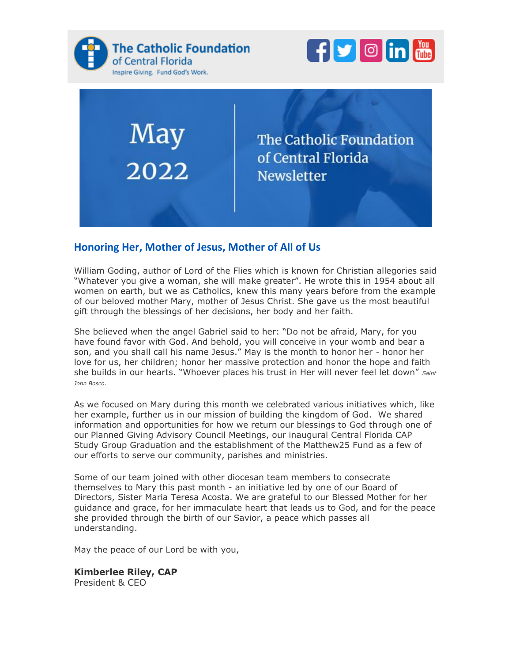

May



The Catholic Foundation of Central Florida **Newsletter** 

#### **Honoring Her, Mother of Jesus, Mother of All of Us**

William Goding, author of Lord of the Flies which is known for Christian allegories said "Whatever you give a woman, she will make greater". He wrote this in 1954 about all women on earth, but we as Catholics, knew this many years before from the example of our beloved mother Mary, mother of Jesus Christ. She gave us the most beautiful gift through the blessings of her decisions, her body and her faith.

She believed when the angel Gabriel said to her: "Do not be afraid, Mary, for you have found favor with God. And behold, you will conceive in your womb and bear a son, and you shall call his name Jesus." May is the month to honor her - honor her love for us, her children; honor her massive protection and honor the hope and faith she builds in our hearts. "Whoever places his trust in Her will never feel let down" *Saint John Bosco*.

As we focused on Mary during this month we celebrated various initiatives which, like her example, further us in our mission of building the kingdom of God. We shared information and opportunities for how we return our blessings to God through one of our Planned Giving Advisory Council Meetings, our inaugural Central Florida CAP Study Group Graduation and the establishment of the Matthew25 Fund as a few of our efforts to serve our community, parishes and ministries.

Some of our team joined with other diocesan team members to consecrate themselves to Mary this past month - an initiative led by one of our Board of Directors, Sister Maria Teresa Acosta. We are grateful to our Blessed Mother for her guidance and grace, for her immaculate heart that leads us to God, and for the peace she provided through the birth of our Savior, a peace which passes all understanding.

May the peace of our Lord be with you,

**Kimberlee Riley, CAP** President & CEO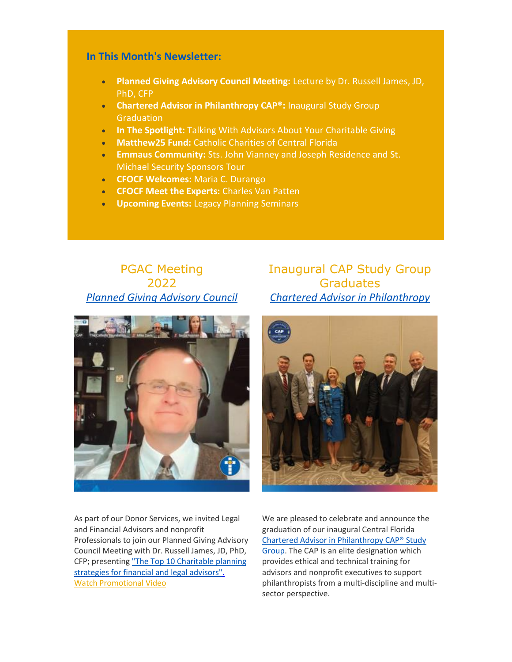#### **In This Month's Newsletter:**

- **Planned Giving Advisory Council Meeting:** Lecture by Dr. Russell James, JD, PhD, CFP
- **Chartered Advisor in Philanthropy CAP®:** Inaugural Study Group **Graduation**
- **In The Spotlight:** Talking With Advisors About Your Charitable Giving
- **Matthew25 Fund:** Catholic Charities of Central Florida
- **Emmaus Community:** Sts. John Vianney and Joseph Residence and St. Michael Security Sponsors Tour
- **CFOCF Welcomes:** Maria C. Durango
- **CFOCF Meet the Experts:** Charles Van Patten
- **Upcoming Events:** Legacy Planning Seminars

# PGAC Meeting 2022 *[Planned Giving Advisory Council](https://nam12.safelinks.protection.outlook.com/?url=https%3A%2F%2Feml-pusa01.app.blackbaud.net%2Fintv2%2Fj%2F7B29244E-5906-487F-A7E1-F10FA9CAA488%2Fr%2F7B29244E-5906-487F-A7E1-F10FA9CAA488_efdcf7cd-d5b4-40d3-809b-50d360d42762%2Fl%2F503E1743-310A-4EDE-B107-C53220CC9404%2Fc&data=05%7C01%7C%7C773275e99be24804ce4c08da43421b8e%7Ccd0a48e50dc64c89bcf1fa06d25b3e0c%7C0%7C0%7C637896248482397709%7CUnknown%7CTWFpbGZsb3d8eyJWIjoiMC4wLjAwMDAiLCJQIjoiV2luMzIiLCJBTiI6Ik1haWwiLCJXVCI6Mn0%3D%7C3000%7C%7C%7C&sdata=fWZ6Ctaal8pWrhJwNUqQ31%2FAuBEe1F7hnSNva5OM34A%3D&reserved=0)*



Inaugural CAP Study Group **Graduates** *[Chartered Advisor in Philanthropy](https://nam12.safelinks.protection.outlook.com/?url=https%3A%2F%2Feml-pusa01.app.blackbaud.net%2Fintv2%2Fj%2F7B29244E-5906-487F-A7E1-F10FA9CAA488%2Fr%2F7B29244E-5906-487F-A7E1-F10FA9CAA488_efdcf7cd-d5b4-40d3-809b-50d360d42762%2Fl%2F7D9AFEA4-E2A4-45F7-B43A-F02CF006D3BE%2Fc&data=05%7C01%7C%7C773275e99be24804ce4c08da43421b8e%7Ccd0a48e50dc64c89bcf1fa06d25b3e0c%7C0%7C0%7C637896248482397709%7CUnknown%7CTWFpbGZsb3d8eyJWIjoiMC4wLjAwMDAiLCJQIjoiV2luMzIiLCJBTiI6Ik1haWwiLCJXVCI6Mn0%3D%7C3000%7C%7C%7C&sdata=6k%2FKtDClUFL23DtGISJHyDdEVR3vmvntV74sk2gZsH8%3D&reserved=0)*



As part of our Donor Services, we invited Legal and Financial Advisors and nonprofit Professionals to join our Planned Giving Advisory Council Meeting with Dr. Russell James, JD, PhD, CFP; presenting ["The Top 10 Charitable planning](https://nam12.safelinks.protection.outlook.com/?url=https%3A%2F%2Feml-pusa01.app.blackbaud.net%2Fintv2%2Fj%2F7B29244E-5906-487F-A7E1-F10FA9CAA488%2Fr%2F7B29244E-5906-487F-A7E1-F10FA9CAA488_efdcf7cd-d5b4-40d3-809b-50d360d42762%2Fl%2F5DEB055D-45E5-4DCC-A320-13D9CEF22971%2Fc&data=05%7C01%7C%7C773275e99be24804ce4c08da43421b8e%7Ccd0a48e50dc64c89bcf1fa06d25b3e0c%7C0%7C0%7C637896248482397709%7CUnknown%7CTWFpbGZsb3d8eyJWIjoiMC4wLjAwMDAiLCJQIjoiV2luMzIiLCJBTiI6Ik1haWwiLCJXVCI6Mn0%3D%7C3000%7C%7C%7C&sdata=vyeIMaZdvXwTngNSMqW4jCIFKwvhr5Lemo4V9VB%2FDAY%3D&reserved=0)  [strategies for financial and legal advisors".](https://nam12.safelinks.protection.outlook.com/?url=https%3A%2F%2Feml-pusa01.app.blackbaud.net%2Fintv2%2Fj%2F7B29244E-5906-487F-A7E1-F10FA9CAA488%2Fr%2F7B29244E-5906-487F-A7E1-F10FA9CAA488_efdcf7cd-d5b4-40d3-809b-50d360d42762%2Fl%2F5DEB055D-45E5-4DCC-A320-13D9CEF22971%2Fc&data=05%7C01%7C%7C773275e99be24804ce4c08da43421b8e%7Ccd0a48e50dc64c89bcf1fa06d25b3e0c%7C0%7C0%7C637896248482397709%7CUnknown%7CTWFpbGZsb3d8eyJWIjoiMC4wLjAwMDAiLCJQIjoiV2luMzIiLCJBTiI6Ik1haWwiLCJXVCI6Mn0%3D%7C3000%7C%7C%7C&sdata=vyeIMaZdvXwTngNSMqW4jCIFKwvhr5Lemo4V9VB%2FDAY%3D&reserved=0) [Watch Promotional Video](https://nam12.safelinks.protection.outlook.com/?url=https%3A%2F%2Feml-pusa01.app.blackbaud.net%2Fintv2%2Fj%2F7B29244E-5906-487F-A7E1-F10FA9CAA488%2Fr%2F7B29244E-5906-487F-A7E1-F10FA9CAA488_efdcf7cd-d5b4-40d3-809b-50d360d42762%2Fl%2F7877703B-5570-42C0-886E-561752270131%2Fc&data=05%7C01%7C%7C773275e99be24804ce4c08da43421b8e%7Ccd0a48e50dc64c89bcf1fa06d25b3e0c%7C0%7C0%7C637896248482397709%7CUnknown%7CTWFpbGZsb3d8eyJWIjoiMC4wLjAwMDAiLCJQIjoiV2luMzIiLCJBTiI6Ik1haWwiLCJXVCI6Mn0%3D%7C3000%7C%7C%7C&sdata=pLLg6epSJJ8W3gP7MIvpcVDcaGKgju9PFofk8gembTY%3D&reserved=0)

We are pleased to celebrate and announce the graduation of our inaugural Central Florida [Chartered Advisor in Philanthropy CAP® Study](https://nam12.safelinks.protection.outlook.com/?url=https%3A%2F%2Feml-pusa01.app.blackbaud.net%2Fintv2%2Fj%2F7B29244E-5906-487F-A7E1-F10FA9CAA488%2Fr%2F7B29244E-5906-487F-A7E1-F10FA9CAA488_efdcf7cd-d5b4-40d3-809b-50d360d42762%2Fl%2F970B97F5-77F1-4581-89B1-B976886B52DE%2Fc&data=05%7C01%7C%7C773275e99be24804ce4c08da43421b8e%7Ccd0a48e50dc64c89bcf1fa06d25b3e0c%7C0%7C0%7C637896248482397709%7CUnknown%7CTWFpbGZsb3d8eyJWIjoiMC4wLjAwMDAiLCJQIjoiV2luMzIiLCJBTiI6Ik1haWwiLCJXVCI6Mn0%3D%7C3000%7C%7C%7C&sdata=0e%2BgevMQ9IBez0GRI%2BEyMn0omNKwsrpuRbJocaUbhp0%3D&reserved=0)  [Group.](https://nam12.safelinks.protection.outlook.com/?url=https%3A%2F%2Feml-pusa01.app.blackbaud.net%2Fintv2%2Fj%2F7B29244E-5906-487F-A7E1-F10FA9CAA488%2Fr%2F7B29244E-5906-487F-A7E1-F10FA9CAA488_efdcf7cd-d5b4-40d3-809b-50d360d42762%2Fl%2F970B97F5-77F1-4581-89B1-B976886B52DE%2Fc&data=05%7C01%7C%7C773275e99be24804ce4c08da43421b8e%7Ccd0a48e50dc64c89bcf1fa06d25b3e0c%7C0%7C0%7C637896248482397709%7CUnknown%7CTWFpbGZsb3d8eyJWIjoiMC4wLjAwMDAiLCJQIjoiV2luMzIiLCJBTiI6Ik1haWwiLCJXVCI6Mn0%3D%7C3000%7C%7C%7C&sdata=0e%2BgevMQ9IBez0GRI%2BEyMn0omNKwsrpuRbJocaUbhp0%3D&reserved=0) The CAP is an elite designation which provides ethical and technical training for advisors and nonprofit executives to support philanthropists from a multi-discipline and multisector perspective.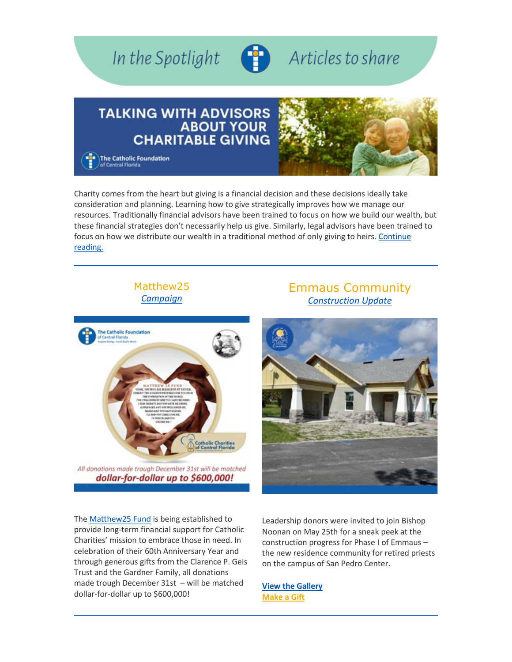

Charity comes from the heart but giving is a financial decision and these decisions ideally take consideration and planning. Learning how to give strategically improves how we manage our resources. Traditionally financial advisors have been trained to focus on how we build our wealth, but these financial strategies don't necessarily help us give. Similarly, legal advisors have been trained to focus on how we distribute our wealth in a traditional method of only giving to heirs. [Continue](https://nam12.safelinks.protection.outlook.com/?url=https%3A%2F%2Feml-pusa01.app.blackbaud.net%2Fintv2%2Fj%2F7B29244E-5906-487F-A7E1-F10FA9CAA488%2Fr%2F7B29244E-5906-487F-A7E1-F10FA9CAA488_efdcf7cd-d5b4-40d3-809b-50d360d42762%2Fl%2F47BC569A-B7C1-45F9-B16C-3D6AEB7EB50A%2Fc&data=05%7C01%7C%7C773275e99be24804ce4c08da43421b8e%7Ccd0a48e50dc64c89bcf1fa06d25b3e0c%7C0%7C0%7C637896248482397709%7CUnknown%7CTWFpbGZsb3d8eyJWIjoiMC4wLjAwMDAiLCJQIjoiV2luMzIiLCJBTiI6Ik1haWwiLCJXVCI6Mn0%3D%7C3000%7C%7C%7C&sdata=HkZRAlMdnd7I%2FYW4eafBH8JebFFgJmYwmXJyC%2FN5VoQ%3D&reserved=0)  [reading.](https://nam12.safelinks.protection.outlook.com/?url=https%3A%2F%2Feml-pusa01.app.blackbaud.net%2Fintv2%2Fj%2F7B29244E-5906-487F-A7E1-F10FA9CAA488%2Fr%2F7B29244E-5906-487F-A7E1-F10FA9CAA488_efdcf7cd-d5b4-40d3-809b-50d360d42762%2Fl%2F47BC569A-B7C1-45F9-B16C-3D6AEB7EB50A%2Fc&data=05%7C01%7C%7C773275e99be24804ce4c08da43421b8e%7Ccd0a48e50dc64c89bcf1fa06d25b3e0c%7C0%7C0%7C637896248482397709%7CUnknown%7CTWFpbGZsb3d8eyJWIjoiMC4wLjAwMDAiLCJQIjoiV2luMzIiLCJBTiI6Ik1haWwiLCJXVCI6Mn0%3D%7C3000%7C%7C%7C&sdata=HkZRAlMdnd7I%2FYW4eafBH8JebFFgJmYwmXJyC%2FN5VoQ%3D&reserved=0)

### Matthew2[5](https://nam12.safelinks.protection.outlook.com/?url=https%3A%2F%2Feml-pusa01.app.blackbaud.net%2Fintv2%2Fj%2F7B29244E-5906-487F-A7E1-F10FA9CAA488%2Fr%2F7B29244E-5906-487F-A7E1-F10FA9CAA488_efdcf7cd-d5b4-40d3-809b-50d360d42762%2Fl%2F84E1D61B-1B2B-4879-87CB-D765CDEC636F%2Fc&data=05%7C01%7C%7C773275e99be24804ce4c08da43421b8e%7Ccd0a48e50dc64c89bcf1fa06d25b3e0c%7C0%7C0%7C637896248482397709%7CUnknown%7CTWFpbGZsb3d8eyJWIjoiMC4wLjAwMDAiLCJQIjoiV2luMzIiLCJBTiI6Ik1haWwiLCJXVCI6Mn0%3D%7C3000%7C%7C%7C&sdata=e%2FT6ECSx99UnGCXJcNfynZHQvoIHo5Pp5v4u8xpcyvM%3D&reserved=0) *[Campaign](https://nam12.safelinks.protection.outlook.com/?url=https%3A%2F%2Feml-pusa01.app.blackbaud.net%2Fintv2%2Fj%2F7B29244E-5906-487F-A7E1-F10FA9CAA488%2Fr%2F7B29244E-5906-487F-A7E1-F10FA9CAA488_efdcf7cd-d5b4-40d3-809b-50d360d42762%2Fl%2F186BB8A9-CF5F-461C-B57B-447AC64B3BE2%2Fc&data=05%7C01%7C%7C773275e99be24804ce4c08da43421b8e%7Ccd0a48e50dc64c89bcf1fa06d25b3e0c%7C0%7C0%7C637896248482397709%7CUnknown%7CTWFpbGZsb3d8eyJWIjoiMC4wLjAwMDAiLCJQIjoiV2luMzIiLCJBTiI6Ik1haWwiLCJXVCI6Mn0%3D%7C3000%7C%7C%7C&sdata=%2Frex0E2%2Bi%2BFF1no6d2AsODemJYn7BiS7nAfkxX8Nmzw%3D&reserved=0)*



## Emmaus Communit[y](https://nam12.safelinks.protection.outlook.com/?url=https%3A%2F%2Feml-pusa01.app.blackbaud.net%2Fintv2%2Fj%2F7B29244E-5906-487F-A7E1-F10FA9CAA488%2Fr%2F7B29244E-5906-487F-A7E1-F10FA9CAA488_efdcf7cd-d5b4-40d3-809b-50d360d42762%2Fl%2FD5072979-1C97-4D3C-93B4-6955B81F8DE2%2Fc&data=05%7C01%7C%7C773275e99be24804ce4c08da43421b8e%7Ccd0a48e50dc64c89bcf1fa06d25b3e0c%7C0%7C0%7C637896248482397709%7CUnknown%7CTWFpbGZsb3d8eyJWIjoiMC4wLjAwMDAiLCJQIjoiV2luMzIiLCJBTiI6Ik1haWwiLCJXVCI6Mn0%3D%7C3000%7C%7C%7C&sdata=8mF97hv2A5nh5CbWJHa%2F%2BSwR2WE%2FHzF6etxWWNiTpRQ%3D&reserved=0) *[Construction Update](https://nam12.safelinks.protection.outlook.com/?url=https%3A%2F%2Feml-pusa01.app.blackbaud.net%2Fintv2%2Fj%2F7B29244E-5906-487F-A7E1-F10FA9CAA488%2Fr%2F7B29244E-5906-487F-A7E1-F10FA9CAA488_efdcf7cd-d5b4-40d3-809b-50d360d42762%2Fl%2FD3EEB1EE-6AE5-430F-8AA6-4EAD885BA1B5%2Fc&data=05%7C01%7C%7C773275e99be24804ce4c08da43421b8e%7Ccd0a48e50dc64c89bcf1fa06d25b3e0c%7C0%7C0%7C637896248482397709%7CUnknown%7CTWFpbGZsb3d8eyJWIjoiMC4wLjAwMDAiLCJQIjoiV2luMzIiLCJBTiI6Ik1haWwiLCJXVCI6Mn0%3D%7C3000%7C%7C%7C&sdata=OnBFY2aOgI1KB23eEe6Yi6R93OGZ5HZ9%2BpuaeRzNbUc%3D&reserved=0)*



The [Matthew25 Fund](https://nam12.safelinks.protection.outlook.com/?url=https%3A%2F%2Feml-pusa01.app.blackbaud.net%2Fintv2%2Fj%2F7B29244E-5906-487F-A7E1-F10FA9CAA488%2Fr%2F7B29244E-5906-487F-A7E1-F10FA9CAA488_efdcf7cd-d5b4-40d3-809b-50d360d42762%2Fl%2FA1F570A0-A067-4978-A73A-28383C44DFFE%2Fc&data=05%7C01%7C%7C773275e99be24804ce4c08da43421b8e%7Ccd0a48e50dc64c89bcf1fa06d25b3e0c%7C0%7C0%7C637896248482397709%7CUnknown%7CTWFpbGZsb3d8eyJWIjoiMC4wLjAwMDAiLCJQIjoiV2luMzIiLCJBTiI6Ik1haWwiLCJXVCI6Mn0%3D%7C3000%7C%7C%7C&sdata=M2Ej1yVMfZk1Ai2rPagZpJRIPLAM%2BBfHTLR%2BBycfURo%3D&reserved=0) is being established to provide long-term financial support for Catholic Charities' mission to embrace those in need. In celebration of their 60th Anniversary Year and through generous gifts from the Clarence P. Geis Trust and the Gardner Family, all donations made trough December 31st – will be matched dollar-for-dollar up to \$600,000!

Leadership donors were invited to join Bishop Noonan on May 25th for a sneak peek at the construction progress for Phase I of Emmaus – the new residence community for retired priests on the campus of San Pedro Center.

**[View the Gallery](https://nam12.safelinks.protection.outlook.com/?url=https%3A%2F%2Feml-pusa01.app.blackbaud.net%2Fintv2%2Fj%2F7B29244E-5906-487F-A7E1-F10FA9CAA488%2Fr%2F7B29244E-5906-487F-A7E1-F10FA9CAA488_efdcf7cd-d5b4-40d3-809b-50d360d42762%2Fl%2F9CE5173A-FC68-45F4-A5AF-6D078FE723EE%2Fc&data=05%7C01%7C%7C773275e99be24804ce4c08da43421b8e%7Ccd0a48e50dc64c89bcf1fa06d25b3e0c%7C0%7C0%7C637896248482397709%7CUnknown%7CTWFpbGZsb3d8eyJWIjoiMC4wLjAwMDAiLCJQIjoiV2luMzIiLCJBTiI6Ik1haWwiLCJXVCI6Mn0%3D%7C3000%7C%7C%7C&sdata=sLXLvAD4xoCvtPqY%2BCURvImScnIZHkFcW3Dkoweg3Os%3D&reserved=0) [Make a Gift](https://nam12.safelinks.protection.outlook.com/?url=https%3A%2F%2Feml-pusa01.app.blackbaud.net%2Fintv2%2Fj%2F7B29244E-5906-487F-A7E1-F10FA9CAA488%2Fr%2F7B29244E-5906-487F-A7E1-F10FA9CAA488_efdcf7cd-d5b4-40d3-809b-50d360d42762%2Fl%2F8AE346B1-60D3-4C75-AEB1-1B2F5999558B%2Fc&data=05%7C01%7C%7C773275e99be24804ce4c08da43421b8e%7Ccd0a48e50dc64c89bcf1fa06d25b3e0c%7C0%7C0%7C637896248482397709%7CUnknown%7CTWFpbGZsb3d8eyJWIjoiMC4wLjAwMDAiLCJQIjoiV2luMzIiLCJBTiI6Ik1haWwiLCJXVCI6Mn0%3D%7C3000%7C%7C%7C&sdata=AHQjJIQPwIbLqiJPHkhdpnP9Gh5WhsKb49Z0g3L3IHI%3D&reserved=0)**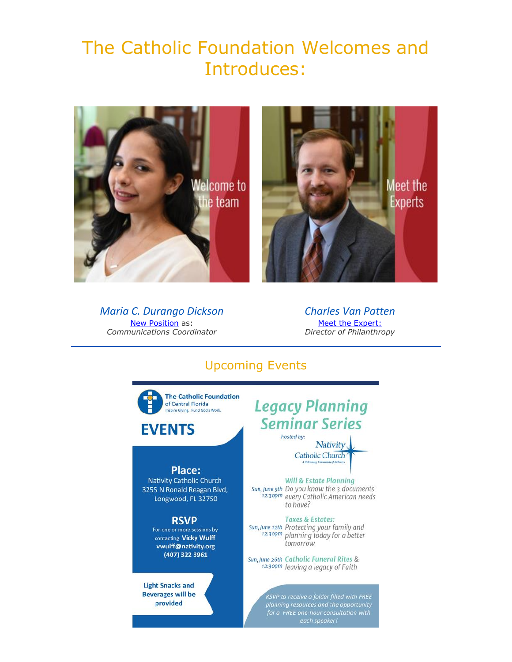# The Catholic Foundation Welcomes and Introduces:





*Maria C. Durango Dickson* **[New Position](https://nam12.safelinks.protection.outlook.com/?url=https%3A%2F%2Feml-pusa01.app.blackbaud.net%2Fintv2%2Fj%2F7B29244E-5906-487F-A7E1-F10FA9CAA488%2Fr%2F7B29244E-5906-487F-A7E1-F10FA9CAA488_efdcf7cd-d5b4-40d3-809b-50d360d42762%2Fl%2F940868A5-1579-4AD9-A4FD-CC0CEB86C07D%2Fc&data=05%7C01%7C%7C773275e99be24804ce4c08da43421b8e%7Ccd0a48e50dc64c89bcf1fa06d25b3e0c%7C0%7C0%7C637896248482397709%7CUnknown%7CTWFpbGZsb3d8eyJWIjoiMC4wLjAwMDAiLCJQIjoiV2luMzIiLCJBTiI6Ik1haWwiLCJXVCI6Mn0%3D%7C3000%7C%7C%7C&sdata=M3WsybOHZjPusMM579Iv7MvfRkm9SHMFM7EGVbVhL4I%3D&reserved=0)** as: *Communications Coordinator*

*Charles Van Patten* [Meet the Expert:](https://nam12.safelinks.protection.outlook.com/?url=https%3A%2F%2Feml-pusa01.app.blackbaud.net%2Fintv2%2Fj%2F7B29244E-5906-487F-A7E1-F10FA9CAA488%2Fr%2F7B29244E-5906-487F-A7E1-F10FA9CAA488_efdcf7cd-d5b4-40d3-809b-50d360d42762%2Fl%2FC020EC22-7D4E-494B-98F2-9024A5BF5A7A%2Fc&data=05%7C01%7C%7C773275e99be24804ce4c08da43421b8e%7Ccd0a48e50dc64c89bcf1fa06d25b3e0c%7C0%7C0%7C637896248482397709%7CUnknown%7CTWFpbGZsb3d8eyJWIjoiMC4wLjAwMDAiLCJQIjoiV2luMzIiLCJBTiI6Ik1haWwiLCJXVCI6Mn0%3D%7C3000%7C%7C%7C&sdata=FbbztTFRu3igdCUbJOpKGYjy84hzY633UWx%2FQvn%2Brxs%3D&reserved=0) *Director of Philanthropy*

# Upcoming Events